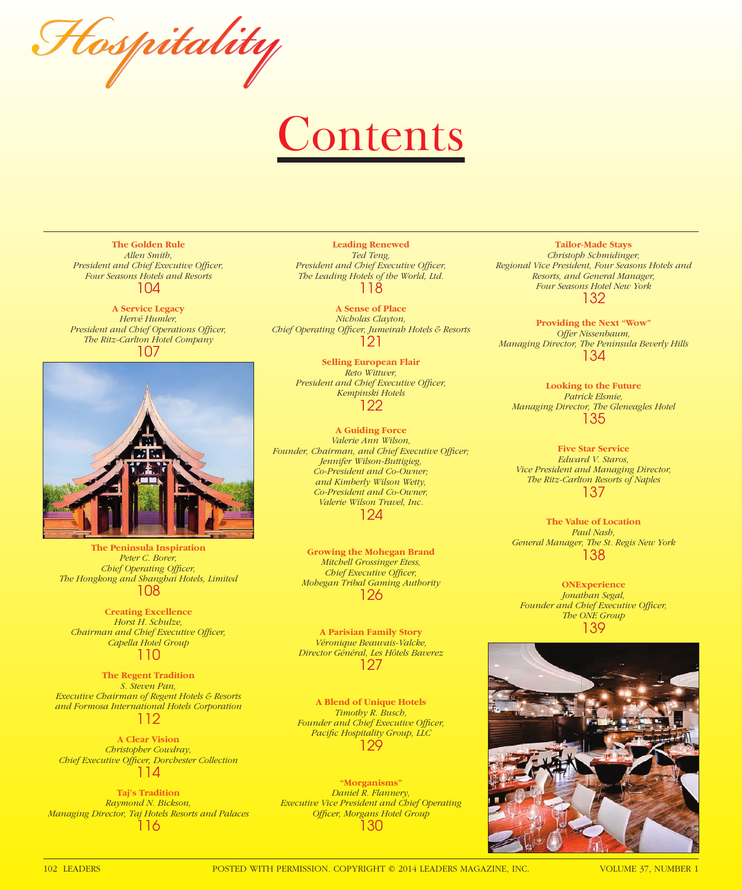Hospitality

## **Contents**

**The Golden Rule** *Allen Smith,*  **President and Chief Executive Officer,** *Four Seasons Hotels and Resorts* 104

**A Service Legacy** *Hervé Humler, President and Chief Operations Officer, The Ritz-Carlton Hotel Company* 107



**The Peninsula Inspiration** *Peter C. Borer, Chief Operating Officer, The Hongkong and Shanghai Hotels, Limited* 108

**Creating Excellence** *Horst H. Schulze, Chairman and Chief Executive Officer, Capella Hotel Group* 110

**The Regent Tradition** *S. Steven Pan, Executive Chairman of Regent Hotels & Resorts and Formosa International Hotels Corporation* 112

**A Clear Vision** *Christopher Cowdray, Chief Executive Offi cer, Dorchester Collection* 114

**Taj's Tradition** *Raymond N. Bickson, Managing Director, Taj Hotels Resorts and Palaces* 116

**Leading Renewed** *Ted Teng,*  **President and Chief Executive Officer,** *The Leading Hotels of the World, Ltd.* 118

**A Sense of Place** *Nicholas Clayton,*  **Chief Operating Officer, Jumeirah Hotels & Resorts** 121

> **Selling European Flair** *Reto Wittwer,*  **President and Chief Executive Officer,** *Kempinski Hotels* 122

**A Guiding Force** *Valerie Ann Wilson,*  Founder, Chairman, and Chief Executive Officer; *Jennifer Wilson-Buttigieg, Co-President and Co-Owner; and Kimberly Wilson Wetty, Co-President and Co-Owner, Valerie Wilson Travel, Inc.* 124

> **Growing the Mohegan Brand** *Mitchell Grossinger Etess, Chief Executive Officer, Mohegan Tribal Gaming Authority* 126

**A Parisian Family Story** *Véronique Beauvais-Valcke, Director Général, Les Hôtels Baverez* 127

**A Blend of Unique Hotels** *Timothy R. Busch,*  **Founder and Chief Executive Officer,** Pacific Hospitality Group, LLC 129

**"Morganisms"** *Daniel R. Flannery, Executive Vice President and Chief Operating*  **Officer, Morgans Hotel Group** 130

**Tailor-Made Stays** *Christoph Schmidinger, Regional Vice President, Four Seasons Hotels and Resorts, and General Manager, Four Seasons Hotel New York* 132

**Providing the Next "Wow"** *Offer Nissenbaum, Managing Director, The Peninsula Beverly Hills* 134

**Looking to the Future** *Patrick Elsmie, Managing Director, The Gleneagles Hotel* 135

**Five Star Service** *Edward V. Staros, Vice President and Managing Director, The Ritz-Carlton Resorts of Naples* 137

**The Value of Location** *Paul Nash, General Manager, The St. Regis New York* 138

**ONExperience** *Jonathan Segal,*  **Founder and Chief Executive Officer,** *The ONE Group* 139